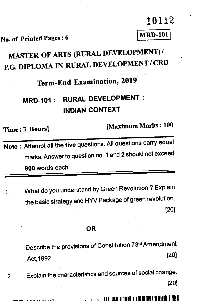10112

# No. of Printed Pages : 6 MRD-101

# **MASTER OF ARTS (RURAL DEVELOPMENT) / P.G DIPLOMA IN RURAL DEVELOPMENT / CRD**

**Term-End Examination, 2019** 

## **MRD-101 : RURAL DEVELOPMENT : INDIAN CONTEXT**

Time • 3 Hours] (Maximum Marks : **<sup>100</sup>**

**Note :** Attempt all the five questions. All questions carry equal marks. Answer to question no. **1** and 2 should not exceed **800** words each.

1. What do you understand by Green Revolution ? Explain the basic strategy and HYV Package of green revolution. [20]

#### **OR**

Describe the provisions of Constitution 73rd Amendment Act,1992. [20]

2. Explain the characteristics and sources of social change. [20]

**- • /1 nenn** fll 111111111111 11E1111ln I III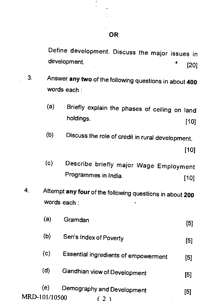Define development. Discuss the major issues in development. (20)

- $3<sub>1</sub>$ Answer **any two** of the following questions in about **<sup>400</sup>** words each :
	- (a) Briefly explain the phases of ceiling on land holdings. [10]
	- (b) Discuss the role of credit in rural development.

[10j

- (c) Describe briefly major Wage Employment Programmes in India. [10]
- 4. Attempt **any four** of the following questions in about **<sup>200</sup>** words each :

| (а)                  | Gramdan                              | [5] |
|----------------------|--------------------------------------|-----|
| (b)                  | Sen's Index of Poverty               | [5] |
| (c)                  | Essential ingredients of empowerment | [5] |
| (d)                  | <b>Gandhian view of Development</b>  | [5] |
| (e)<br>MRD-101/10500 | Demography and Development           | 5   |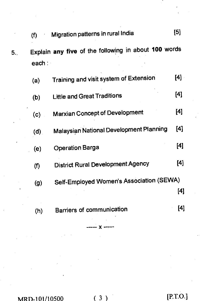|     | (f)    | Migration patterns in rural India                    | וטן |
|-----|--------|------------------------------------------------------|-----|
| 5., | each : | Explain any five of the following in about 100 words |     |
|     | (a)    | Training and visit system of Extension               | [4] |
|     | (b)    | <b>Little and Great Traditions</b>                   | [4] |
|     | (c)    | <b>Marxian Concept of Development</b>                | [4] |
|     | (d)    | <b>Malaysian National Development Planning</b>       | [4] |
|     | (e)    | <b>Operation Barga</b>                               | [4] |
|     | (f)    | <b>District Rural Development Agency</b>             | [4] |
|     | (g)    | Self-Employed Women's Association (SEWA)             | [4] |

(h) Barriers of communication [4]

 $x -$ 

MRD-101/10500 (3) [P.T.O.]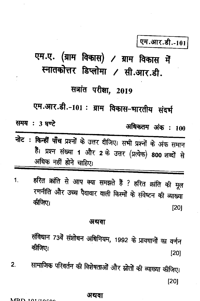## एम.आर.डी.-101

एम.ए. (ग्राम विकास) / ग्राम विकास में स्नातकोत्तर डिप्लोमा / सी.आर.डी.

## सत्रांत परीक्षा, 2019

एम.आर.डी.-101: ग्राम विकास-भारतीय संदर्भ

समय : 3 घण्टे

अधिकतम अंक : 100

- नोट : किन्हीं पाँच प्रश्नों के उत्तर दीजिए। सभी प्रश्नों के अंक समान हैं। प्रश्न संख्या 1 और 2 के उत्तर (प्रत्येक) 800 शब्दों से अधिक नहीं होने चाहिए।
- हरित क्रांति से आप क्या समझते हैं ? हरित क्रांति की मूल  $\mathbf{1}$ रणनीति और उच्च पैदावार वाली किस्मों के संवेष्टन की व्याख्या कीजिए।  $[20]$

### अथवा

संविधान 73वें संशोधन अधिनियम, 1992 के प्रावधानों का वर्णन कीजिए।  $[20]$ 

सामाजिक परिवर्तन की विशेषताओं और स्रोतों की व्याख्या कीजिए।  $2.$  $[20]$ 

### अथवा

#### $MDD$  101/10500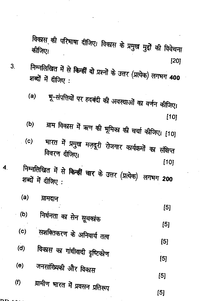विकास की परिभाषा दीजिए। विकास के प्रमुख मुद्दों की विवेचना कीजिए। [20]

- निम्नलिखित में से किन्हीं दो प्रश्नों के उत्तर (प्रत्येक) लगभग 400  $3<sub>l</sub>$ शब्दों में दीजिए:
	- भू-संपत्तियों पर हदबंदी की अवस्थाओं का वर्णन कीजिए।  $(a)$  $[10]$
	- ग्राम विकास में ऋण की भूमिका की चर्चा कीजिए। [10]  $(b)$
	- भारत में प्रमुख मज़दूरी रोजगार कार्यक्रमों का संक्षिप्त  $(c)$ विवरण दीजिए।  $[10]$
- निम्नलिखित में से किन्हीं चार के उत्तर (प्रत्येक) लगभग 200  $4.$ शब्दों में दीजिए:
	- $(a)$ ग्रामदान
	- $[5]$ निर्धनता का सेन सूचकांक  $(b)$  $[5]$ सशक्तिकरण के अनिवार्य तत्व  $(c)$  $[5]$  $(d)$ विकास का गांधीवादी दृष्टिकोण  $[5]$ जनसांख्यिकी और विकास  $(e)$  $[5]$ ग्रामीण भारत में प्रवसन प्रतिरूप  $(f)$
- nn

 $[5]$